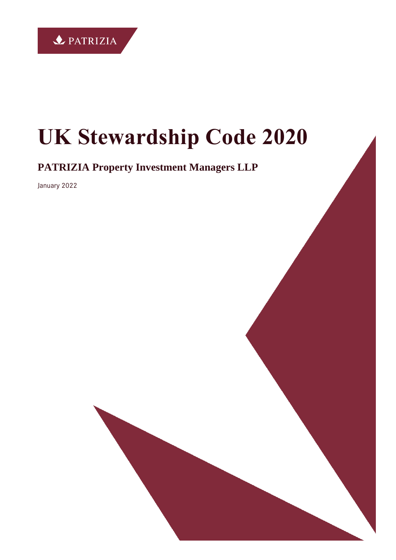

# **UK Stewardship Code 2020**

**PATRIZIA Property Investment Managers LLP**

January 2022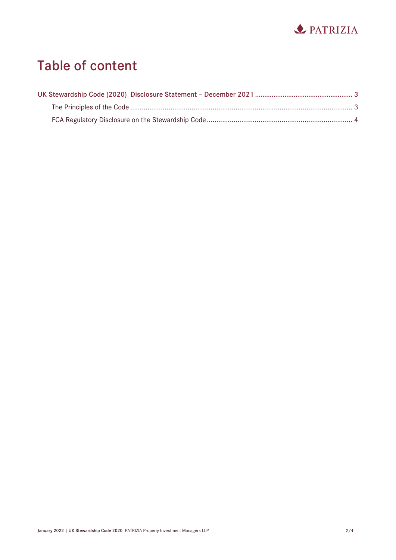

# **Table of content**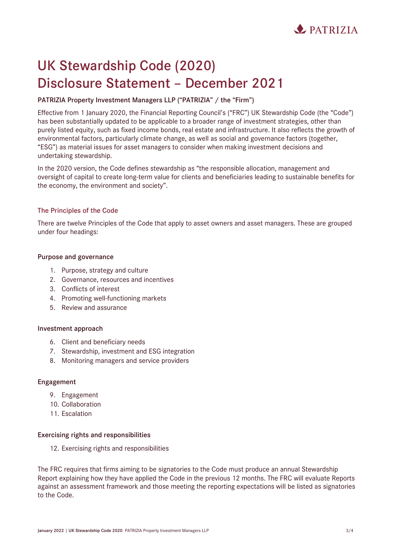

# <span id="page-2-0"></span>**UK Stewardship Code (2020) Disclosure Statement – December 2021**

## **PATRIZIA Property Investment Managers LLP ("PATRIZIA" / the "Firm")**

Effective from 1 January 2020, the Financial Reporting Council's ("FRC") UK Stewardship Code (the "Code") has been substantially updated to be applicable to a broader range of investment strategies, other than purely listed equity, such as fixed income bonds, real estate and infrastructure. It also reflects the growth of environmental factors, particularly climate change, as well as social and governance factors (together, "ESG") as material issues for asset managers to consider when making investment decisions and undertaking stewardship.

In the 2020 version, the Code defines stewardship as "the responsible allocation, management and oversight of capital to create long-term value for clients and beneficiaries leading to sustainable benefits for the economy, the environment and society".

### <span id="page-2-1"></span>**The Principles of the Code**

There are twelve Principles of the Code that apply to asset owners and asset managers. These are grouped under four headings:

### **Purpose and governance**

- 1. Purpose, strategy and culture
- 2. Governance, resources and incentives
- 3. Conflicts of interest
- 4. Promoting well-functioning markets
- 5. Review and assurance

#### **Investment approach**

- 6. Client and beneficiary needs
- 7. Stewardship, investment and ESG integration
- 8. Monitoring managers and service providers

### **Engagement**

- 9. Engagement
- 10. Collaboration
- 11. Escalation

#### **Exercising rights and responsibilities**

12. Exercising rights and responsibilities

The FRC requires that firms aiming to be signatories to the Code must produce an annual Stewardship Report explaining how they have applied the Code in the previous 12 months. The FRC will evaluate Reports against an assessment framework and those meeting the reporting expectations will be listed as signatories to the Code.